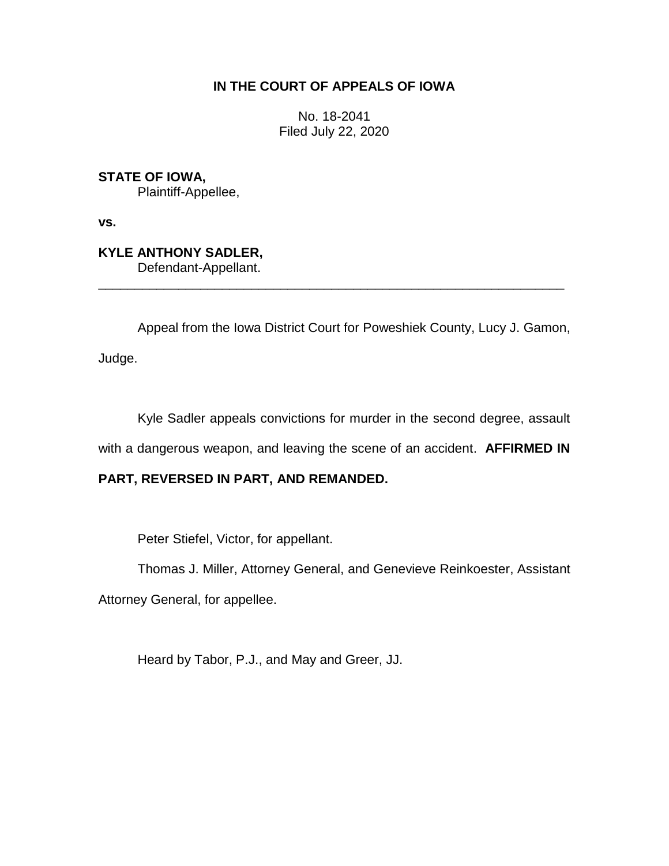# **IN THE COURT OF APPEALS OF IOWA**

No. 18-2041 Filed July 22, 2020

**STATE OF IOWA,** Plaintiff-Appellee,

**vs.**

**KYLE ANTHONY SADLER,** Defendant-Appellant.

Appeal from the Iowa District Court for Poweshiek County, Lucy J. Gamon,

\_\_\_\_\_\_\_\_\_\_\_\_\_\_\_\_\_\_\_\_\_\_\_\_\_\_\_\_\_\_\_\_\_\_\_\_\_\_\_\_\_\_\_\_\_\_\_\_\_\_\_\_\_\_\_\_\_\_\_\_\_\_\_\_

Judge.

Kyle Sadler appeals convictions for murder in the second degree, assault

with a dangerous weapon, and leaving the scene of an accident. **AFFIRMED IN** 

# **PART, REVERSED IN PART, AND REMANDED.**

Peter Stiefel, Victor, for appellant.

Thomas J. Miller, Attorney General, and Genevieve Reinkoester, Assistant

Attorney General, for appellee.

Heard by Tabor, P.J., and May and Greer, JJ.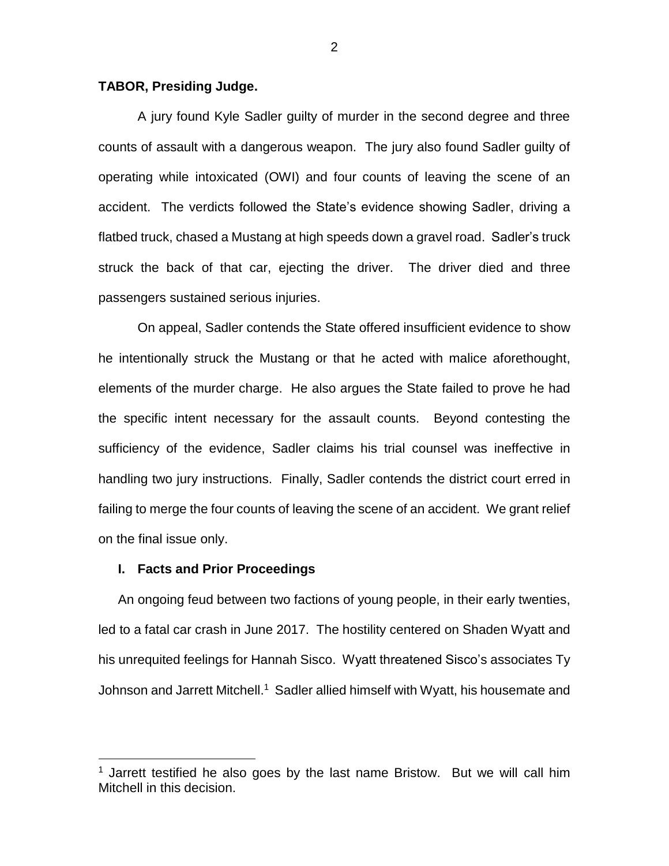### **TABOR, Presiding Judge.**

A jury found Kyle Sadler guilty of murder in the second degree and three counts of assault with a dangerous weapon. The jury also found Sadler guilty of operating while intoxicated (OWI) and four counts of leaving the scene of an accident. The verdicts followed the State's evidence showing Sadler, driving a flatbed truck, chased a Mustang at high speeds down a gravel road. Sadler's truck struck the back of that car, ejecting the driver. The driver died and three passengers sustained serious injuries.

On appeal, Sadler contends the State offered insufficient evidence to show he intentionally struck the Mustang or that he acted with malice aforethought, elements of the murder charge. He also argues the State failed to prove he had the specific intent necessary for the assault counts. Beyond contesting the sufficiency of the evidence, Sadler claims his trial counsel was ineffective in handling two jury instructions. Finally, Sadler contends the district court erred in failing to merge the four counts of leaving the scene of an accident. We grant relief on the final issue only.

### **I. Facts and Prior Proceedings**

 $\overline{a}$ 

An ongoing feud between two factions of young people, in their early twenties, led to a fatal car crash in June 2017. The hostility centered on Shaden Wyatt and his unrequited feelings for Hannah Sisco. Wyatt threatened Sisco's associates Ty Johnson and Jarrett Mitchell.<sup>1</sup> Sadler allied himself with Wyatt, his housemate and

 $1$  Jarrett testified he also goes by the last name Bristow. But we will call him Mitchell in this decision.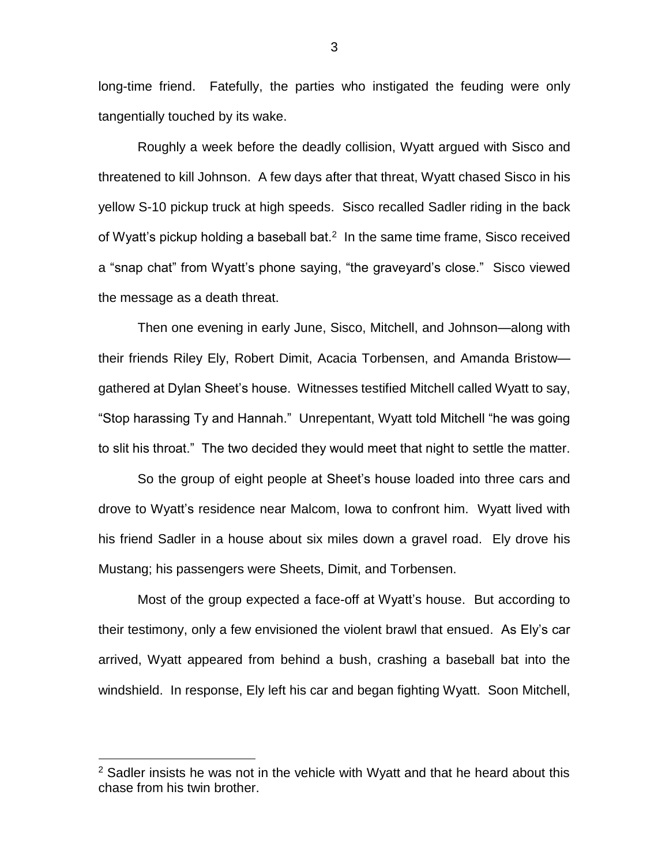long-time friend. Fatefully, the parties who instigated the feuding were only tangentially touched by its wake.

Roughly a week before the deadly collision, Wyatt argued with Sisco and threatened to kill Johnson. A few days after that threat, Wyatt chased Sisco in his yellow S-10 pickup truck at high speeds. Sisco recalled Sadler riding in the back of Wyatt's pickup holding a baseball bat. $2$  In the same time frame, Sisco received a "snap chat" from Wyatt's phone saying, "the graveyard's close." Sisco viewed the message as a death threat.

Then one evening in early June, Sisco, Mitchell, and Johnson—along with their friends Riley Ely, Robert Dimit, Acacia Torbensen, and Amanda Bristow gathered at Dylan Sheet's house. Witnesses testified Mitchell called Wyatt to say, "Stop harassing Ty and Hannah." Unrepentant, Wyatt told Mitchell "he was going to slit his throat." The two decided they would meet that night to settle the matter.

So the group of eight people at Sheet's house loaded into three cars and drove to Wyatt's residence near Malcom, Iowa to confront him. Wyatt lived with his friend Sadler in a house about six miles down a gravel road. Ely drove his Mustang; his passengers were Sheets, Dimit, and Torbensen.

Most of the group expected a face-off at Wyatt's house. But according to their testimony, only a few envisioned the violent brawl that ensued. As Ely's car arrived, Wyatt appeared from behind a bush, crashing a baseball bat into the windshield. In response, Ely left his car and began fighting Wyatt. Soon Mitchell,

 $2$  Sadler insists he was not in the vehicle with Wyatt and that he heard about this chase from his twin brother.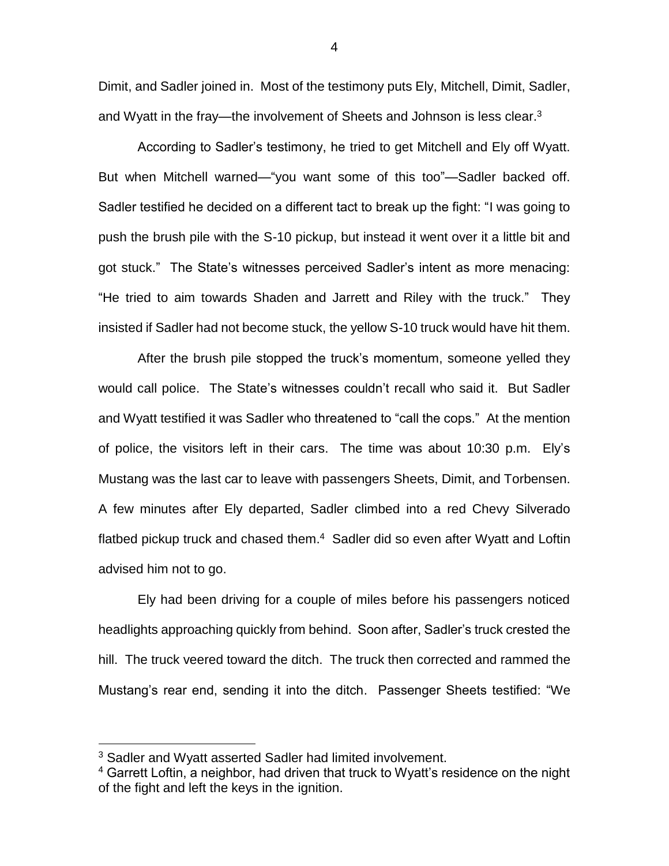Dimit, and Sadler joined in. Most of the testimony puts Ely, Mitchell, Dimit, Sadler, and Wyatt in the fray—the involvement of Sheets and Johnson is less clear.<sup>3</sup>

According to Sadler's testimony, he tried to get Mitchell and Ely off Wyatt. But when Mitchell warned—"you want some of this too"—Sadler backed off. Sadler testified he decided on a different tact to break up the fight: "I was going to push the brush pile with the S-10 pickup, but instead it went over it a little bit and got stuck." The State's witnesses perceived Sadler's intent as more menacing: "He tried to aim towards Shaden and Jarrett and Riley with the truck." They insisted if Sadler had not become stuck, the yellow S-10 truck would have hit them.

After the brush pile stopped the truck's momentum, someone yelled they would call police. The State's witnesses couldn't recall who said it. But Sadler and Wyatt testified it was Sadler who threatened to "call the cops." At the mention of police, the visitors left in their cars. The time was about 10:30 p.m. Ely's Mustang was the last car to leave with passengers Sheets, Dimit, and Torbensen. A few minutes after Ely departed, Sadler climbed into a red Chevy Silverado flatbed pickup truck and chased them.<sup>4</sup> Sadler did so even after Wyatt and Loftin advised him not to go.

Ely had been driving for a couple of miles before his passengers noticed headlights approaching quickly from behind. Soon after, Sadler's truck crested the hill. The truck veered toward the ditch. The truck then corrected and rammed the Mustang's rear end, sending it into the ditch. Passenger Sheets testified: "We

<sup>&</sup>lt;sup>3</sup> Sadler and Wyatt asserted Sadler had limited involvement.

<sup>&</sup>lt;sup>4</sup> Garrett Loftin, a neighbor, had driven that truck to Wyatt's residence on the night of the fight and left the keys in the ignition.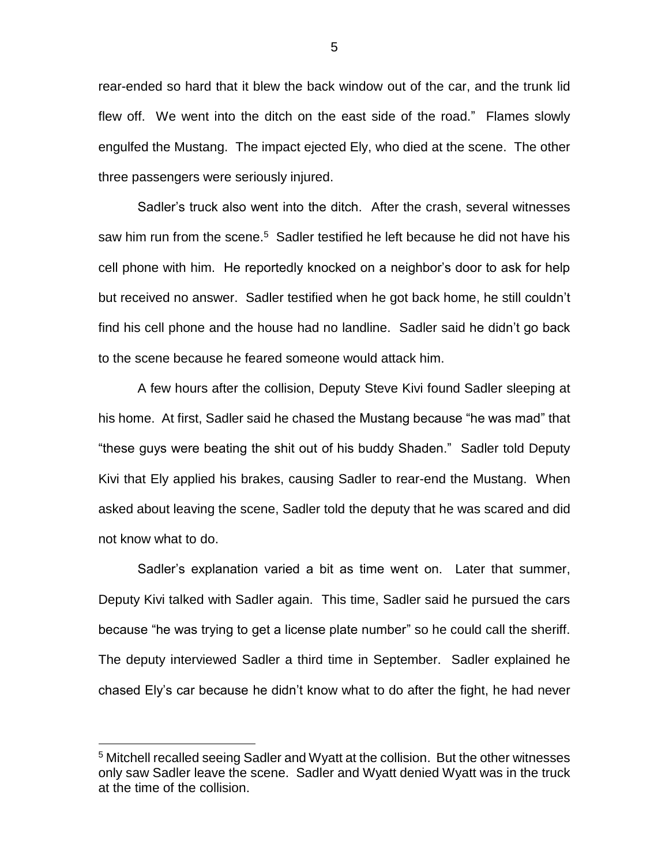rear-ended so hard that it blew the back window out of the car, and the trunk lid flew off. We went into the ditch on the east side of the road." Flames slowly engulfed the Mustang. The impact ejected Ely, who died at the scene. The other three passengers were seriously injured.

Sadler's truck also went into the ditch. After the crash, several witnesses saw him run from the scene.<sup>5</sup> Sadler testified he left because he did not have his cell phone with him. He reportedly knocked on a neighbor's door to ask for help but received no answer. Sadler testified when he got back home, he still couldn't find his cell phone and the house had no landline. Sadler said he didn't go back to the scene because he feared someone would attack him.

A few hours after the collision, Deputy Steve Kivi found Sadler sleeping at his home. At first, Sadler said he chased the Mustang because "he was mad" that "these guys were beating the shit out of his buddy Shaden." Sadler told Deputy Kivi that Ely applied his brakes, causing Sadler to rear-end the Mustang. When asked about leaving the scene, Sadler told the deputy that he was scared and did not know what to do.

Sadler's explanation varied a bit as time went on. Later that summer, Deputy Kivi talked with Sadler again. This time, Sadler said he pursued the cars because "he was trying to get a license plate number" so he could call the sheriff. The deputy interviewed Sadler a third time in September. Sadler explained he chased Ely's car because he didn't know what to do after the fight, he had never

<sup>&</sup>lt;sup>5</sup> Mitchell recalled seeing Sadler and Wyatt at the collision. But the other witnesses only saw Sadler leave the scene. Sadler and Wyatt denied Wyatt was in the truck at the time of the collision.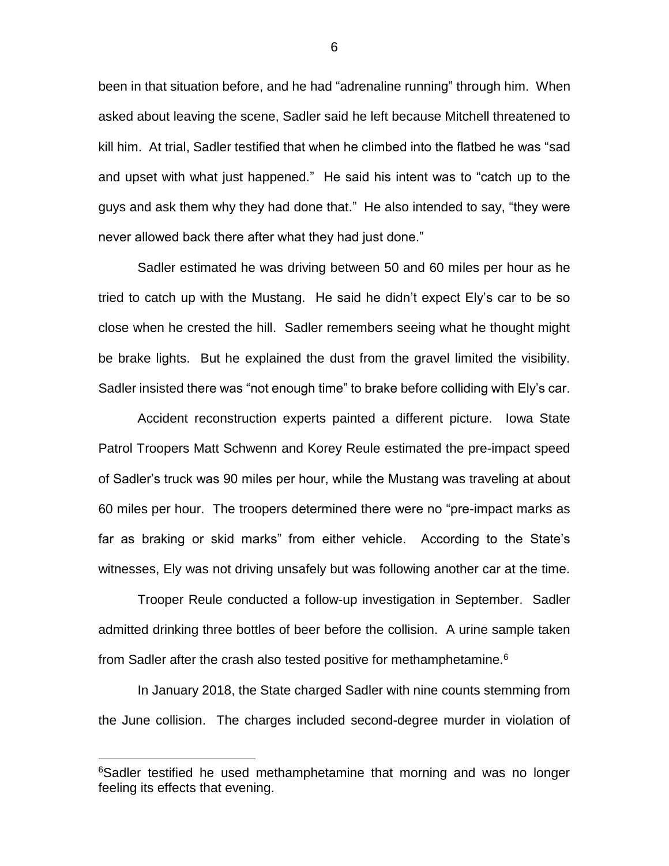been in that situation before, and he had "adrenaline running" through him. When asked about leaving the scene, Sadler said he left because Mitchell threatened to kill him. At trial, Sadler testified that when he climbed into the flatbed he was "sad and upset with what just happened." He said his intent was to "catch up to the guys and ask them why they had done that." He also intended to say, "they were never allowed back there after what they had just done."

Sadler estimated he was driving between 50 and 60 miles per hour as he tried to catch up with the Mustang. He said he didn't expect Ely's car to be so close when he crested the hill. Sadler remembers seeing what he thought might be brake lights. But he explained the dust from the gravel limited the visibility. Sadler insisted there was "not enough time" to brake before colliding with Ely's car.

Accident reconstruction experts painted a different picture. Iowa State Patrol Troopers Matt Schwenn and Korey Reule estimated the pre-impact speed of Sadler's truck was 90 miles per hour, while the Mustang was traveling at about 60 miles per hour. The troopers determined there were no "pre-impact marks as far as braking or skid marks" from either vehicle. According to the State's witnesses, Ely was not driving unsafely but was following another car at the time.

Trooper Reule conducted a follow-up investigation in September. Sadler admitted drinking three bottles of beer before the collision. A urine sample taken from Sadler after the crash also tested positive for methamphetamine.<sup>6</sup>

In January 2018, the State charged Sadler with nine counts stemming from the June collision. The charges included second-degree murder in violation of

 $\overline{a}$ 

6

<sup>&</sup>lt;sup>6</sup>Sadler testified he used methamphetamine that morning and was no longer feeling its effects that evening.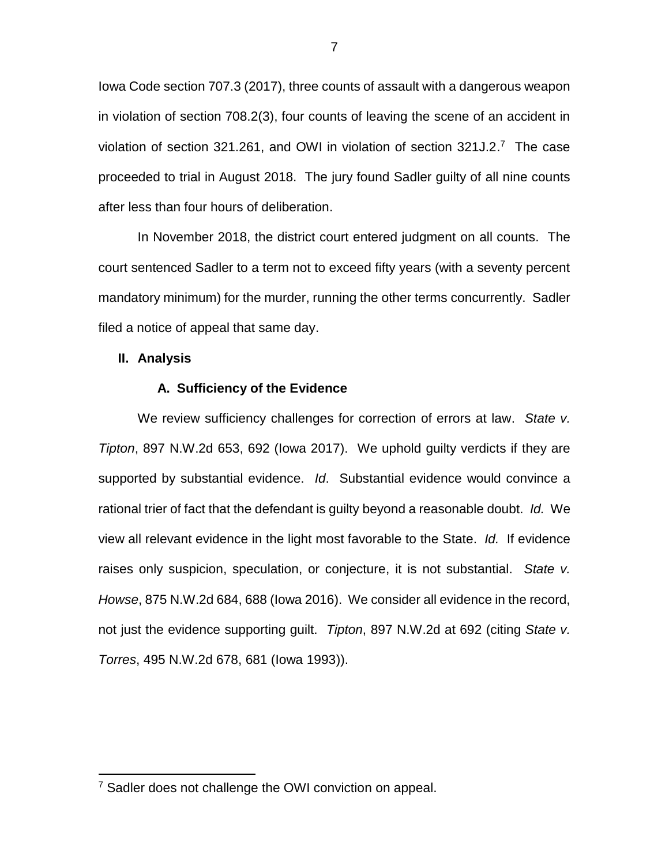Iowa Code section 707.3 (2017), three counts of assault with a dangerous weapon in violation of section 708.2(3), four counts of leaving the scene of an accident in violation of section 321.261, and OWI in violation of section  $321J.2.^7$  The case proceeded to trial in August 2018. The jury found Sadler guilty of all nine counts after less than four hours of deliberation.

In November 2018, the district court entered judgment on all counts. The court sentenced Sadler to a term not to exceed fifty years (with a seventy percent mandatory minimum) for the murder, running the other terms concurrently. Sadler filed a notice of appeal that same day.

#### **II. Analysis**

 $\overline{a}$ 

## **A. Sufficiency of the Evidence**

We review sufficiency challenges for correction of errors at law. *State v. Tipton*, 897 N.W.2d 653, 692 (Iowa 2017). We uphold guilty verdicts if they are supported by substantial evidence. *Id*. Substantial evidence would convince a rational trier of fact that the defendant is guilty beyond a reasonable doubt. *Id.* We view all relevant evidence in the light most favorable to the State. *Id.* If evidence raises only suspicion, speculation, or conjecture, it is not substantial. *State v. Howse*, 875 N.W.2d 684, 688 (Iowa 2016). We consider all evidence in the record, not just the evidence supporting guilt. *Tipton*, 897 N.W.2d at 692 (citing *State v. Torres*, 495 N.W.2d 678, 681 (Iowa 1993)).

<sup>&</sup>lt;sup>7</sup> Sadler does not challenge the OWI conviction on appeal.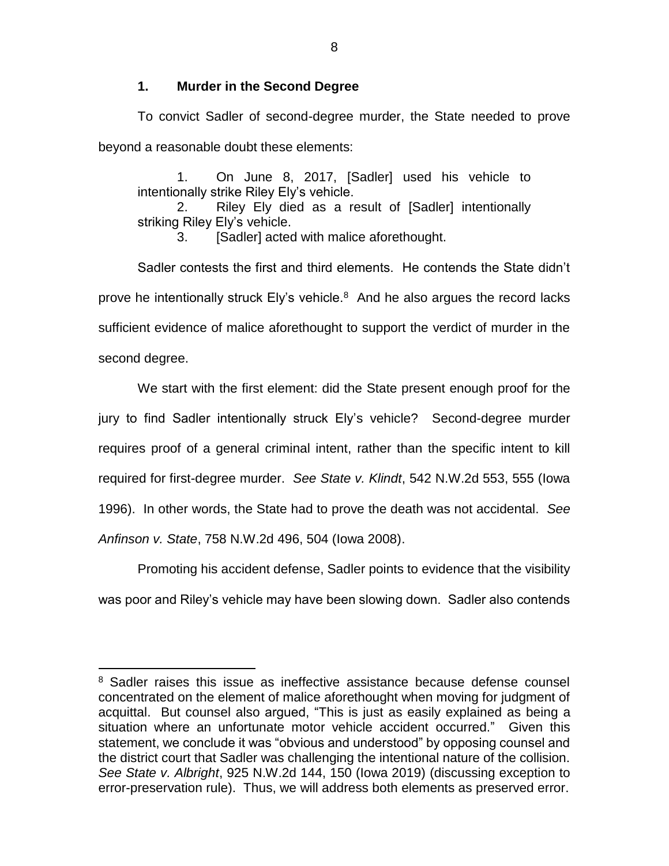# **1. Murder in the Second Degree**

To convict Sadler of second-degree murder, the State needed to prove beyond a reasonable doubt these elements:

1. On June 8, 2017, [Sadler] used his vehicle to intentionally strike Riley Ely's vehicle.

2. Riley Ely died as a result of [Sadler] intentionally striking Riley Ely's vehicle.

3. [Sadler] acted with malice aforethought.

Sadler contests the first and third elements. He contends the State didn't prove he intentionally struck Ely's vehicle. $8$  And he also argues the record lacks sufficient evidence of malice aforethought to support the verdict of murder in the second degree.

We start with the first element: did the State present enough proof for the jury to find Sadler intentionally struck Ely's vehicle? Second-degree murder requires proof of a general criminal intent, rather than the specific intent to kill required for first-degree murder. *See State v. Klindt*, 542 N.W.2d 553, 555 (Iowa 1996). In other words, the State had to prove the death was not accidental. *See Anfinson v. State*, 758 N.W.2d 496, 504 (Iowa 2008).

Promoting his accident defense, Sadler points to evidence that the visibility was poor and Riley's vehicle may have been slowing down. Sadler also contends

<sup>&</sup>lt;sup>8</sup> Sadler raises this issue as ineffective assistance because defense counsel concentrated on the element of malice aforethought when moving for judgment of acquittal. But counsel also argued, "This is just as easily explained as being a situation where an unfortunate motor vehicle accident occurred." Given this statement, we conclude it was "obvious and understood" by opposing counsel and the district court that Sadler was challenging the intentional nature of the collision. *See State v. Albright*, 925 N.W.2d 144, 150 (Iowa 2019) (discussing exception to error-preservation rule). Thus, we will address both elements as preserved error.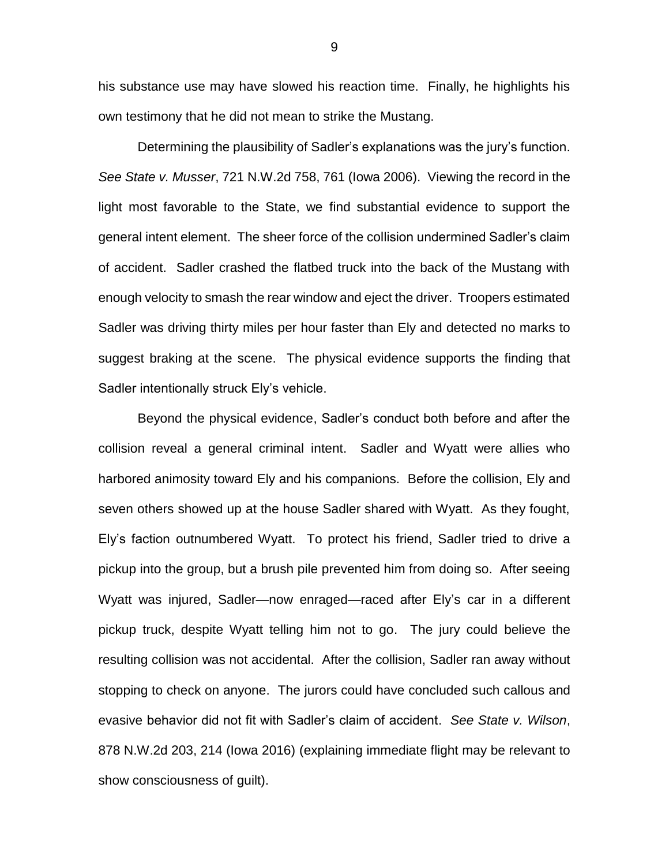his substance use may have slowed his reaction time. Finally, he highlights his own testimony that he did not mean to strike the Mustang.

Determining the plausibility of Sadler's explanations was the jury's function. *See State v. Musser*, 721 N.W.2d 758, 761 (Iowa 2006). Viewing the record in the light most favorable to the State, we find substantial evidence to support the general intent element. The sheer force of the collision undermined Sadler's claim of accident. Sadler crashed the flatbed truck into the back of the Mustang with enough velocity to smash the rear window and eject the driver. Troopers estimated Sadler was driving thirty miles per hour faster than Ely and detected no marks to suggest braking at the scene. The physical evidence supports the finding that Sadler intentionally struck Ely's vehicle.

Beyond the physical evidence, Sadler's conduct both before and after the collision reveal a general criminal intent. Sadler and Wyatt were allies who harbored animosity toward Ely and his companions. Before the collision, Ely and seven others showed up at the house Sadler shared with Wyatt. As they fought, Ely's faction outnumbered Wyatt. To protect his friend, Sadler tried to drive a pickup into the group, but a brush pile prevented him from doing so. After seeing Wyatt was injured, Sadler—now enraged—raced after Ely's car in a different pickup truck, despite Wyatt telling him not to go. The jury could believe the resulting collision was not accidental. After the collision, Sadler ran away without stopping to check on anyone. The jurors could have concluded such callous and evasive behavior did not fit with Sadler's claim of accident. *See State v. Wilson*, 878 N.W.2d 203, 214 (Iowa 2016) (explaining immediate flight may be relevant to show consciousness of guilt).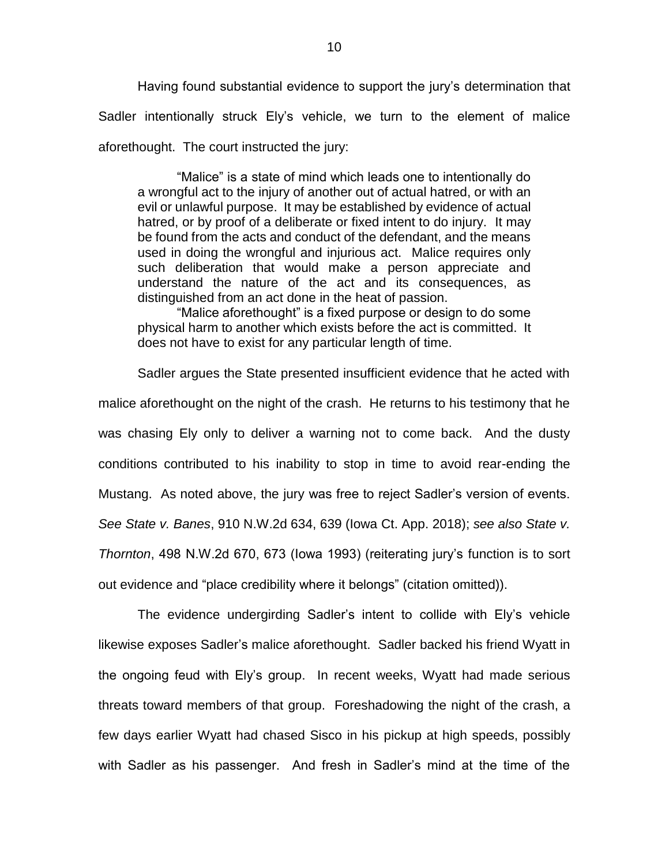Having found substantial evidence to support the jury's determination that Sadler intentionally struck Ely's vehicle, we turn to the element of malice aforethought. The court instructed the jury:

"Malice" is a state of mind which leads one to intentionally do a wrongful act to the injury of another out of actual hatred, or with an evil or unlawful purpose. It may be established by evidence of actual hatred, or by proof of a deliberate or fixed intent to do injury. It may be found from the acts and conduct of the defendant, and the means used in doing the wrongful and injurious act. Malice requires only such deliberation that would make a person appreciate and understand the nature of the act and its consequences, as distinguished from an act done in the heat of passion.

"Malice aforethought" is a fixed purpose or design to do some physical harm to another which exists before the act is committed. It does not have to exist for any particular length of time.

Sadler argues the State presented insufficient evidence that he acted with malice aforethought on the night of the crash. He returns to his testimony that he was chasing Ely only to deliver a warning not to come back. And the dusty conditions contributed to his inability to stop in time to avoid rear-ending the Mustang. As noted above, the jury was free to reject Sadler's version of events. *See State v. Banes*, 910 N.W.2d 634, 639 (Iowa Ct. App. 2018); *see also State v. Thornton*, 498 N.W.2d 670, 673 (Iowa 1993) (reiterating jury's function is to sort out evidence and "place credibility where it belongs" (citation omitted)).

The evidence undergirding Sadler's intent to collide with Ely's vehicle likewise exposes Sadler's malice aforethought. Sadler backed his friend Wyatt in the ongoing feud with Ely's group. In recent weeks, Wyatt had made serious threats toward members of that group. Foreshadowing the night of the crash, a few days earlier Wyatt had chased Sisco in his pickup at high speeds, possibly with Sadler as his passenger. And fresh in Sadler's mind at the time of the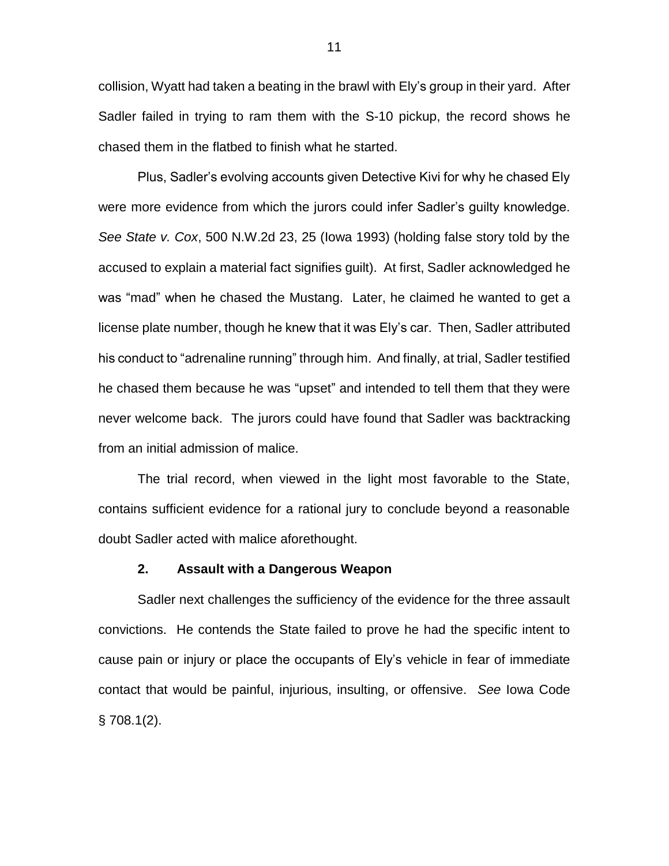collision, Wyatt had taken a beating in the brawl with Ely's group in their yard. After Sadler failed in trying to ram them with the S-10 pickup, the record shows he chased them in the flatbed to finish what he started.

Plus, Sadler's evolving accounts given Detective Kivi for why he chased Ely were more evidence from which the jurors could infer Sadler's guilty knowledge. *See State v. Cox*, 500 N.W.2d 23, 25 (Iowa 1993) (holding false story told by the accused to explain a material fact signifies guilt). At first, Sadler acknowledged he was "mad" when he chased the Mustang. Later, he claimed he wanted to get a license plate number, though he knew that it was Ely's car. Then, Sadler attributed his conduct to "adrenaline running" through him. And finally, at trial, Sadler testified he chased them because he was "upset" and intended to tell them that they were never welcome back. The jurors could have found that Sadler was backtracking from an initial admission of malice.

The trial record, when viewed in the light most favorable to the State, contains sufficient evidence for a rational jury to conclude beyond a reasonable doubt Sadler acted with malice aforethought.

#### **2. Assault with a Dangerous Weapon**

Sadler next challenges the sufficiency of the evidence for the three assault convictions. He contends the State failed to prove he had the specific intent to cause pain or injury or place the occupants of Ely's vehicle in fear of immediate contact that would be painful, injurious, insulting, or offensive. *See* Iowa Code  $§$  708.1(2).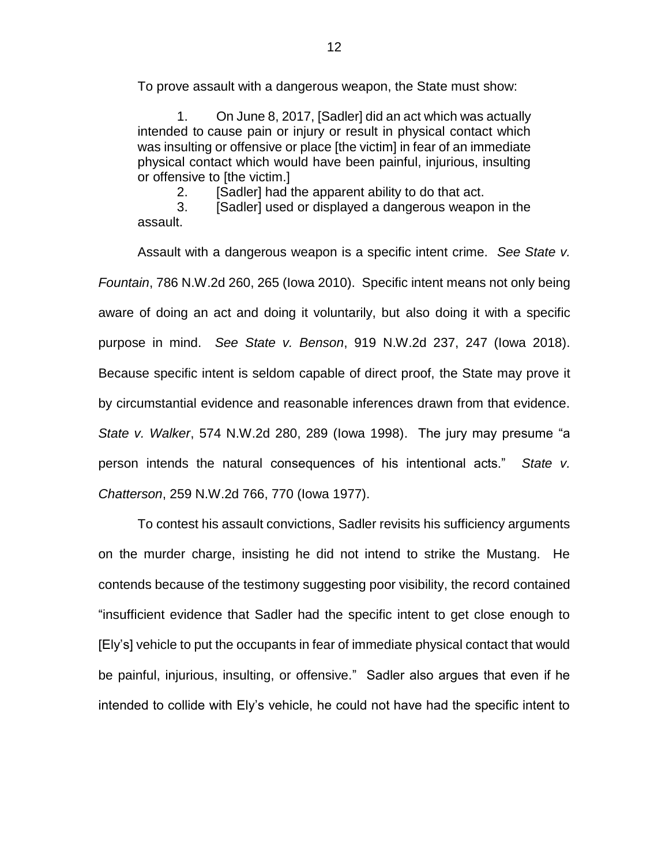To prove assault with a dangerous weapon, the State must show:

1. On June 8, 2017, [Sadler] did an act which was actually intended to cause pain or injury or result in physical contact which was insulting or offensive or place [the victim] in fear of an immediate physical contact which would have been painful, injurious, insulting or offensive to [the victim.]

2. [Sadler] had the apparent ability to do that act.

3. [Sadler] used or displayed a dangerous weapon in the assault.

Assault with a dangerous weapon is a specific intent crime. *See State v. Fountain*, 786 N.W.2d 260, 265 (Iowa 2010). Specific intent means not only being aware of doing an act and doing it voluntarily, but also doing it with a specific purpose in mind. *See State v. Benson*, 919 N.W.2d 237, 247 (Iowa 2018). Because specific intent is seldom capable of direct proof, the State may prove it by circumstantial evidence and reasonable inferences drawn from that evidence. *State v. Walker*, 574 N.W.2d 280, 289 (Iowa 1998). The jury may presume "a person intends the natural consequences of his intentional acts." *State v. Chatterson*, 259 N.W.2d 766, 770 (Iowa 1977).

To contest his assault convictions, Sadler revisits his sufficiency arguments on the murder charge, insisting he did not intend to strike the Mustang. He contends because of the testimony suggesting poor visibility, the record contained "insufficient evidence that Sadler had the specific intent to get close enough to [Ely's] vehicle to put the occupants in fear of immediate physical contact that would be painful, injurious, insulting, or offensive." Sadler also argues that even if he intended to collide with Ely's vehicle, he could not have had the specific intent to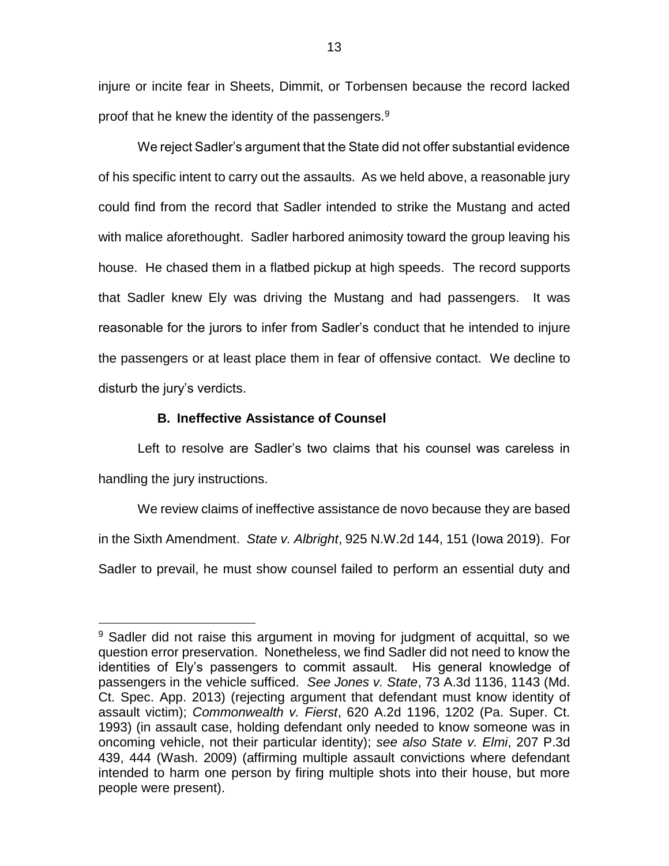injure or incite fear in Sheets, Dimmit, or Torbensen because the record lacked proof that he knew the identity of the passengers. $9$ 

We reject Sadler's argument that the State did not offer substantial evidence of his specific intent to carry out the assaults. As we held above, a reasonable jury could find from the record that Sadler intended to strike the Mustang and acted with malice aforethought. Sadler harbored animosity toward the group leaving his house. He chased them in a flatbed pickup at high speeds. The record supports that Sadler knew Ely was driving the Mustang and had passengers. It was reasonable for the jurors to infer from Sadler's conduct that he intended to injure the passengers or at least place them in fear of offensive contact. We decline to disturb the jury's verdicts.

## **B. Ineffective Assistance of Counsel**

 $\overline{a}$ 

Left to resolve are Sadler's two claims that his counsel was careless in handling the jury instructions.

We review claims of ineffective assistance de novo because they are based in the Sixth Amendment. *State v. Albright*, 925 N.W.2d 144, 151 (Iowa 2019). For Sadler to prevail, he must show counsel failed to perform an essential duty and

<sup>&</sup>lt;sup>9</sup> Sadler did not raise this argument in moving for judgment of acquittal, so we question error preservation. Nonetheless, we find Sadler did not need to know the identities of Ely's passengers to commit assault. His general knowledge of passengers in the vehicle sufficed. *See Jones v. State*, 73 A.3d 1136, 1143 (Md. Ct. Spec. App. 2013) (rejecting argument that defendant must know identity of assault victim); *Commonwealth v. Fierst*, 620 A.2d 1196, 1202 (Pa. Super. Ct. 1993) (in assault case, holding defendant only needed to know someone was in oncoming vehicle, not their particular identity); *see also State v. Elmi*, 207 P.3d 439, 444 (Wash. 2009) (affirming multiple assault convictions where defendant intended to harm one person by firing multiple shots into their house, but more people were present).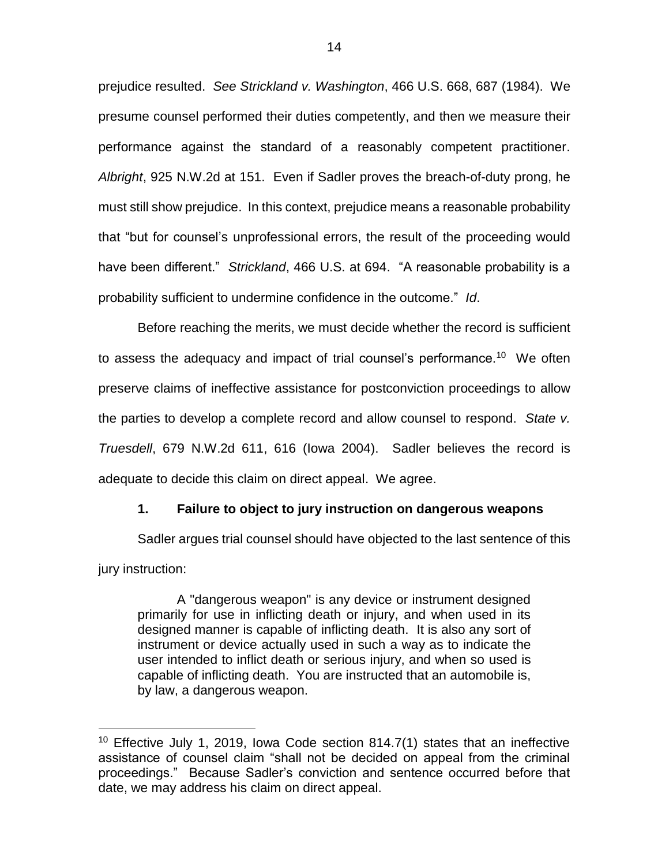prejudice resulted. *See Strickland v. Washington*, 466 U.S. 668, 687 (1984). We presume counsel performed their duties competently, and then we measure their performance against the standard of a reasonably competent practitioner. *Albright*, 925 N.W.2d at 151. Even if Sadler proves the breach-of-duty prong, he must still show prejudice. In this context, prejudice means a reasonable probability that "but for counsel's unprofessional errors, the result of the proceeding would have been different." *Strickland*, 466 U.S. at 694. "A reasonable probability is a probability sufficient to undermine confidence in the outcome." *Id*.

Before reaching the merits, we must decide whether the record is sufficient to assess the adequacy and impact of trial counsel's performance.<sup>10</sup> We often preserve claims of ineffective assistance for postconviction proceedings to allow the parties to develop a complete record and allow counsel to respond. *State v. Truesdell*, 679 N.W.2d 611, 616 (Iowa 2004). Sadler believes the record is adequate to decide this claim on direct appeal. We agree.

## **1. Failure to object to jury instruction on dangerous weapons**

Sadler argues trial counsel should have objected to the last sentence of this jury instruction:

A "dangerous weapon" is any device or instrument designed primarily for use in inflicting death or injury, and when used in its designed manner is capable of inflicting death. It is also any sort of instrument or device actually used in such a way as to indicate the user intended to inflict death or serious injury, and when so used is capable of inflicting death. You are instructed that an automobile is, by law, a dangerous weapon.

<sup>&</sup>lt;sup>10</sup> Effective July 1, 2019, Iowa Code section 814.7(1) states that an ineffective assistance of counsel claim "shall not be decided on appeal from the criminal proceedings." Because Sadler's conviction and sentence occurred before that date, we may address his claim on direct appeal.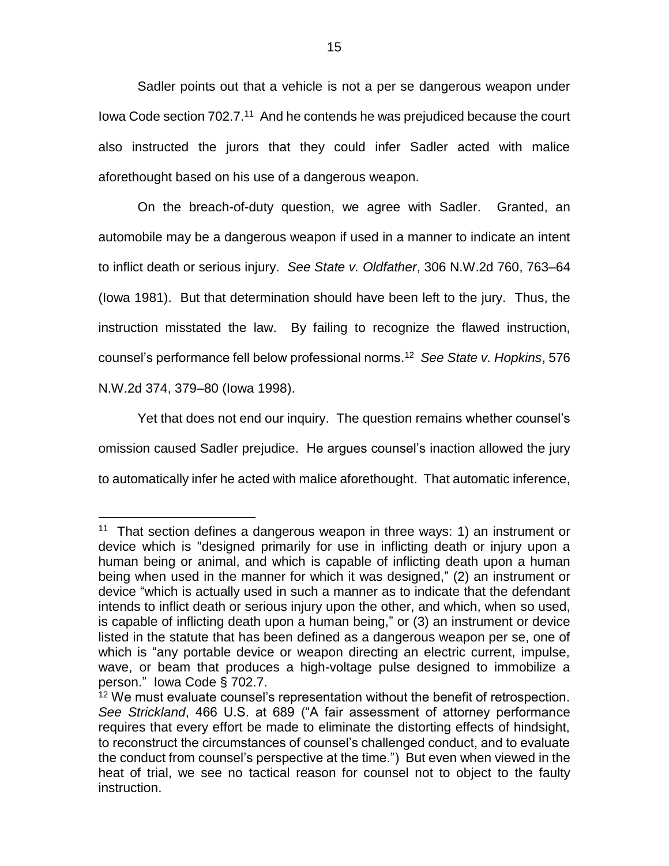Sadler points out that a vehicle is not a per se dangerous weapon under lowa Code section 702.7.<sup>11</sup> And he contends he was prejudiced because the court also instructed the jurors that they could infer Sadler acted with malice aforethought based on his use of a dangerous weapon.

On the breach-of-duty question, we agree with Sadler. Granted, an automobile may be a dangerous weapon if used in a manner to indicate an intent to inflict death or serious injury. *See State v. Oldfather*, 306 N.W.2d 760, 763–64 (Iowa 1981). But that determination should have been left to the jury. Thus, the instruction misstated the law. By failing to recognize the flawed instruction, counsel's performance fell below professional norms. <sup>12</sup> *See State v. Hopkins*, 576 N.W.2d 374, 379–80 (Iowa 1998).

Yet that does not end our inquiry. The question remains whether counsel's omission caused Sadler prejudice. He argues counsel's inaction allowed the jury to automatically infer he acted with malice aforethought. That automatic inference,

<sup>&</sup>lt;sup>11</sup> That section defines a dangerous weapon in three ways: 1) an instrument or device which is "designed primarily for use in inflicting death or injury upon a human being or animal, and which is capable of inflicting death upon a human being when used in the manner for which it was designed," (2) an instrument or device "which is actually used in such a manner as to indicate that the defendant intends to inflict death or serious injury upon the other, and which, when so used, is capable of inflicting death upon a human being," or (3) an instrument or device listed in the statute that has been defined as a dangerous weapon per se, one of which is "any portable device or weapon directing an electric current, impulse, wave, or beam that produces a high-voltage pulse designed to immobilize a person." Iowa Code § 702.7.

<sup>&</sup>lt;sup>12</sup> We must evaluate counsel's representation without the benefit of retrospection. *See Strickland*, 466 U.S. at 689 ("A fair assessment of attorney performance requires that every effort be made to eliminate the distorting effects of hindsight, to reconstruct the circumstances of counsel's challenged conduct, and to evaluate the conduct from counsel's perspective at the time.") But even when viewed in the heat of trial, we see no tactical reason for counsel not to object to the faulty instruction.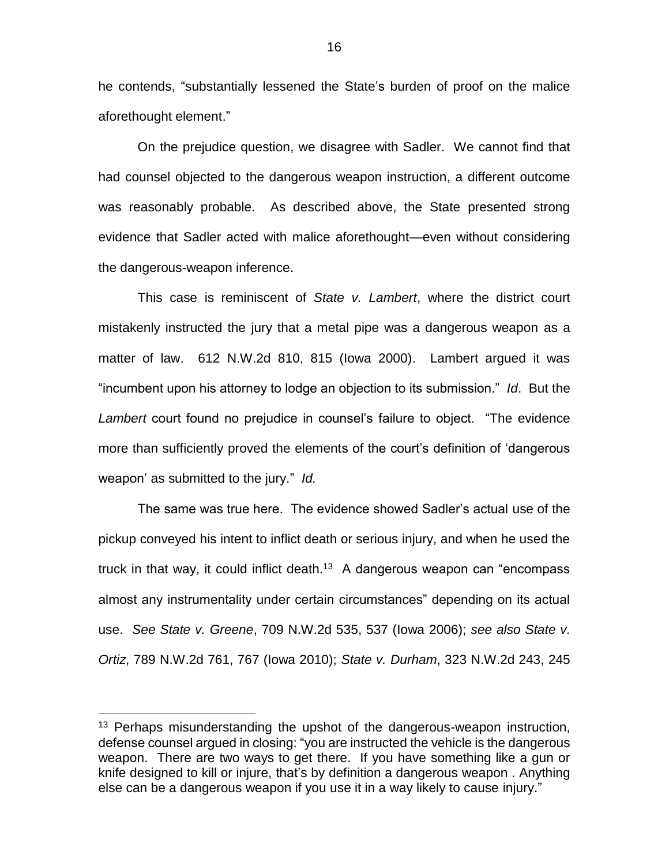he contends, "substantially lessened the State's burden of proof on the malice aforethought element."

On the prejudice question, we disagree with Sadler. We cannot find that had counsel objected to the dangerous weapon instruction, a different outcome was reasonably probable. As described above, the State presented strong evidence that Sadler acted with malice aforethought—even without considering the dangerous-weapon inference.

This case is reminiscent of *State v. Lambert*, where the district court mistakenly instructed the jury that a metal pipe was a dangerous weapon as a matter of law. 612 N.W.2d 810, 815 (Iowa 2000). Lambert argued it was "incumbent upon his attorney to lodge an objection to its submission." *Id*. But the *Lambert* court found no prejudice in counsel's failure to object. "The evidence more than sufficiently proved the elements of the court's definition of 'dangerous weapon' as submitted to the jury." *Id.*

The same was true here. The evidence showed Sadler's actual use of the pickup conveyed his intent to inflict death or serious injury, and when he used the truck in that way, it could inflict death.<sup>13</sup> A dangerous weapon can "encompass almost any instrumentality under certain circumstances" depending on its actual use. *See State v. Greene*, 709 N.W.2d 535, 537 (Iowa 2006); *see also State v. Ortiz*, 789 N.W.2d 761, 767 (Iowa 2010); *State v. Durham*, 323 N.W.2d 243, 245

<sup>&</sup>lt;sup>13</sup> Perhaps misunderstanding the upshot of the dangerous-weapon instruction, defense counsel argued in closing: "you are instructed the vehicle is the dangerous weapon. There are two ways to get there. If you have something like a gun or knife designed to kill or injure, that's by definition a dangerous weapon . Anything else can be a dangerous weapon if you use it in a way likely to cause injury."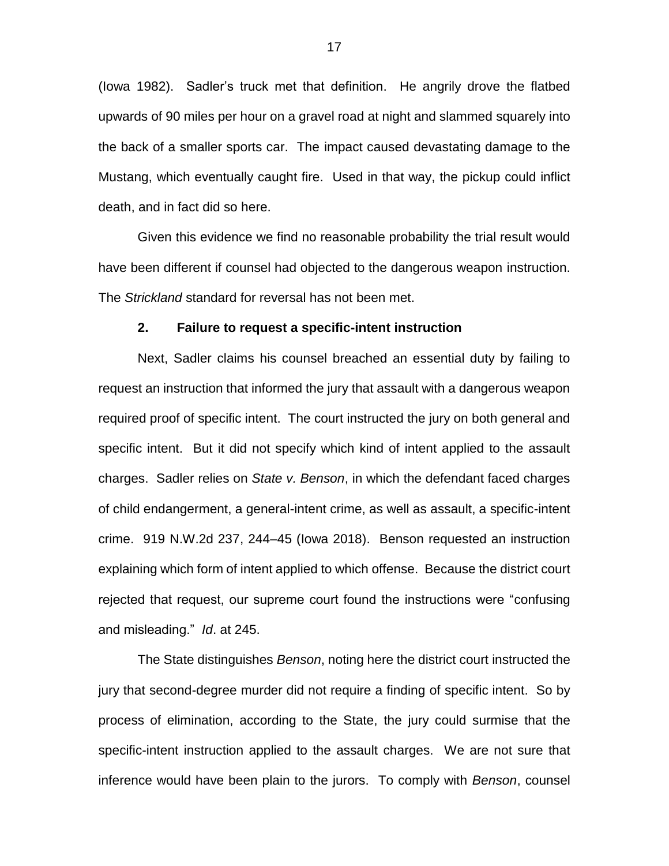(Iowa 1982). Sadler's truck met that definition. He angrily drove the flatbed upwards of 90 miles per hour on a gravel road at night and slammed squarely into the back of a smaller sports car. The impact caused devastating damage to the Mustang, which eventually caught fire. Used in that way, the pickup could inflict death, and in fact did so here.

Given this evidence we find no reasonable probability the trial result would have been different if counsel had objected to the dangerous weapon instruction. The *Strickland* standard for reversal has not been met.

### **2. Failure to request a specific-intent instruction**

Next, Sadler claims his counsel breached an essential duty by failing to request an instruction that informed the jury that assault with a dangerous weapon required proof of specific intent. The court instructed the jury on both general and specific intent. But it did not specify which kind of intent applied to the assault charges. Sadler relies on *State v. Benson*, in which the defendant faced charges of child endangerment, a general-intent crime, as well as assault, a specific-intent crime. 919 N.W.2d 237, 244–45 (Iowa 2018). Benson requested an instruction explaining which form of intent applied to which offense. Because the district court rejected that request, our supreme court found the instructions were "confusing and misleading." *Id*. at 245.

The State distinguishes *Benson*, noting here the district court instructed the jury that second-degree murder did not require a finding of specific intent. So by process of elimination, according to the State, the jury could surmise that the specific-intent instruction applied to the assault charges. We are not sure that inference would have been plain to the jurors. To comply with *Benson*, counsel